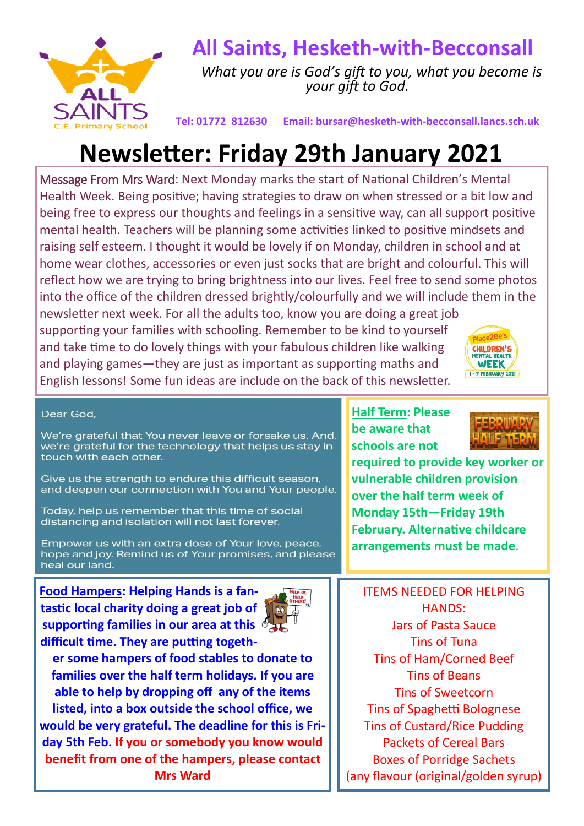

## **All Saints, Hesketh-with-Becconsall**

 *What you are is God's gift to you, what you become is your gift to God.*

**Tel: 01772 812630 Email: bursar@hesketh-with-becconsall.lancs.sch.uk**

## **Newsletter: Friday 29th January 2021**

Message From Mrs Ward: Next Monday marks the start of National Children's Mental Health Week. Being positive; having strategies to draw on when stressed or a bit low and being free to express our thoughts and feelings in a sensitive way, can all support positive mental health. Teachers will be planning some activities linked to positive mindsets and raising self esteem. I thought it would be lovely if on Monday, children in school and at home wear clothes, accessories or even just socks that are bright and colourful. This will reflect how we are trying to bring brightness into our lives. Feel free to send some photos into the office of the children dressed brightly/colourfully and we will include them in the

newsletter next week. For all the adults too, know you are doing a great job supporting your families with schooling. Remember to be kind to yourself and take time to do lovely things with your fabulous children like walking and playing games—they are just as important as supporting maths and English lessons! Some fun ideas are include on the back of this newsletter.



## Dear God.

We're grateful that You never leave or forsake us. And, we're grateful for the technology that helps us stay in touch with each other.

Give us the strength to endure this difficult season, and deepen our connection with You and Your people.

Today, help us remember that this time of social distancing and isolation will not last forever.

Empower us with an extra dose of Your love, peace, hope and joy. Remind us of Your promises, and please heal our land.

**Food Hampers: Helping Hands is a fantastic local charity doing a great job of supporting families in our area at this difficult time. They are putting togeth-**



**er some hampers of food stables to donate to families over the half term holidays. If you are able to help by dropping off any of the items listed, into a box outside the school office, we would be very grateful. The deadline for this is Friday 5th Feb. If you or somebody you know would benefit from one of the hampers, please contact Mrs Ward** 

**Half Term: Please be aware that schools are not** 



**required to provide key worker or vulnerable children provision over the half term week of Monday 15th—Friday 19th February. Alternative childcare arrangements must be made**.

ITEMS NEEDED FOR HELPING HANDS: Jars of Pasta Sauce Tins of Tuna Tins of Ham/Corned Beef Tins of Beans Tins of Sweetcorn Tins of Spaghetti Bolognese Tins of Custard/Rice Pudding Packets of Cereal Bars Boxes of Porridge Sachets (any flavour (original/golden syrup)